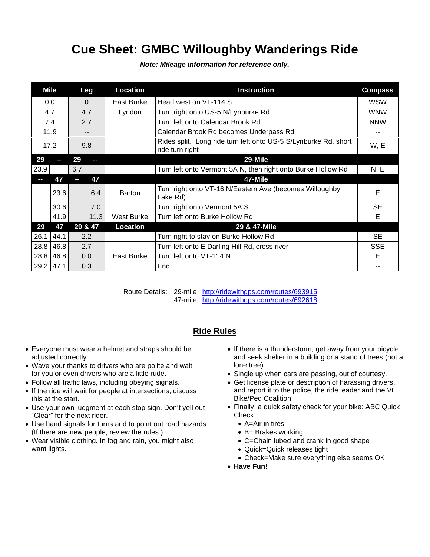## **Cue Sheet: GMBC Willoughby Wanderings Ride**

|             | Mile |          | Leg  | Location   | <b>Instruction</b>                                                                 | <b>Compass</b> |
|-------------|------|----------|------|------------|------------------------------------------------------------------------------------|----------------|
| 0.0         |      | $\Omega$ |      | East Burke | Head west on VT-114 S                                                              | <b>WSW</b>     |
| 4.7         |      | 4.7      |      | Lyndon     | Turn right onto US-5 N/Lynburke Rd                                                 | <b>WNW</b>     |
| 7.4         |      | 2.7      |      |            | Turn left onto Calendar Brook Rd                                                   | <b>NNW</b>     |
| 11.9        |      |          |      |            | Calendar Brook Rd becomes Underpass Rd                                             | --             |
| 17.2        |      | 9.8      |      |            | Rides split. Long ride turn left onto US-5 S/Lynburke Rd, short<br>ride turn right | W, E           |
| 29          |      | 29       | ŀ    |            | 29-Mile                                                                            |                |
| 23.9        |      | 6.7      |      |            | Turn left onto Vermont 5A N, then right onto Burke Hollow Rd                       | N, E           |
|             | 47   | $\sim$   | 47   |            | 47-Mile                                                                            |                |
|             | 23.6 |          | 6.4  | Barton     | Turn right onto VT-16 N/Eastern Ave (becomes Willoughby<br>Lake Rd)                | Е              |
|             | 30.6 |          | 7.0  |            | Turn right onto Vermont 5A S                                                       | <b>SE</b>      |
|             | 41.9 |          | 11.3 | West Burke | Turn left onto Burke Hollow Rd                                                     | Е              |
| 29          | 47   | 29 & 47  |      | Location   | 29 & 47-Mile                                                                       |                |
| 26.1        | 44.1 | 2.2      |      |            | Turn right to stay on Burke Hollow Rd                                              | <b>SE</b>      |
| 28.8        | 46.8 | 2.7      |      |            | Turn left onto E Darling Hill Rd, cross river                                      | <b>SSE</b>     |
| $28.8$ 46.8 |      | 0.0      |      | East Burke | Turn left onto VT-114 N                                                            | E              |
| $29.2$ 47.1 |      | 0.3      |      |            | End                                                                                | --             |

*Note: Mileage information for reference only.*

Route Details: 29-mile <http://ridewithgps.com/routes/693915> 47-mile <http://ridewithgps.com/routes/692618>

## **Ride Rules**

- Everyone must wear a helmet and straps should be adjusted correctly.
- Wave your thanks to drivers who are polite and wait for you or even drivers who are a little rude.
- Follow all traffic laws, including obeying signals.
- If the ride will wait for people at intersections, discuss this at the start.
- Use your own judgment at each stop sign. Don't yell out "Clear" for the next rider.
- Use hand signals for turns and to point out road hazards (If there are new people, review the rules.)
- Wear visible clothing. In fog and rain, you might also want lights.
- If there is a thunderstorm, get away from your bicycle and seek shelter in a building or a stand of trees (not a lone tree).
- Single up when cars are passing, out of courtesy.
- Get license plate or description of harassing drivers, and report it to the police, the ride leader and the Vt Bike/Ped Coalition.
- Finally, a quick safety check for your bike: ABC Quick **Check** 
	- A=Air in tires
	- B= Brakes working
	- C=Chain lubed and crank in good shape
	- Quick=Quick releases tight
	- Check=Make sure everything else seems OK
- **Have Fun!**